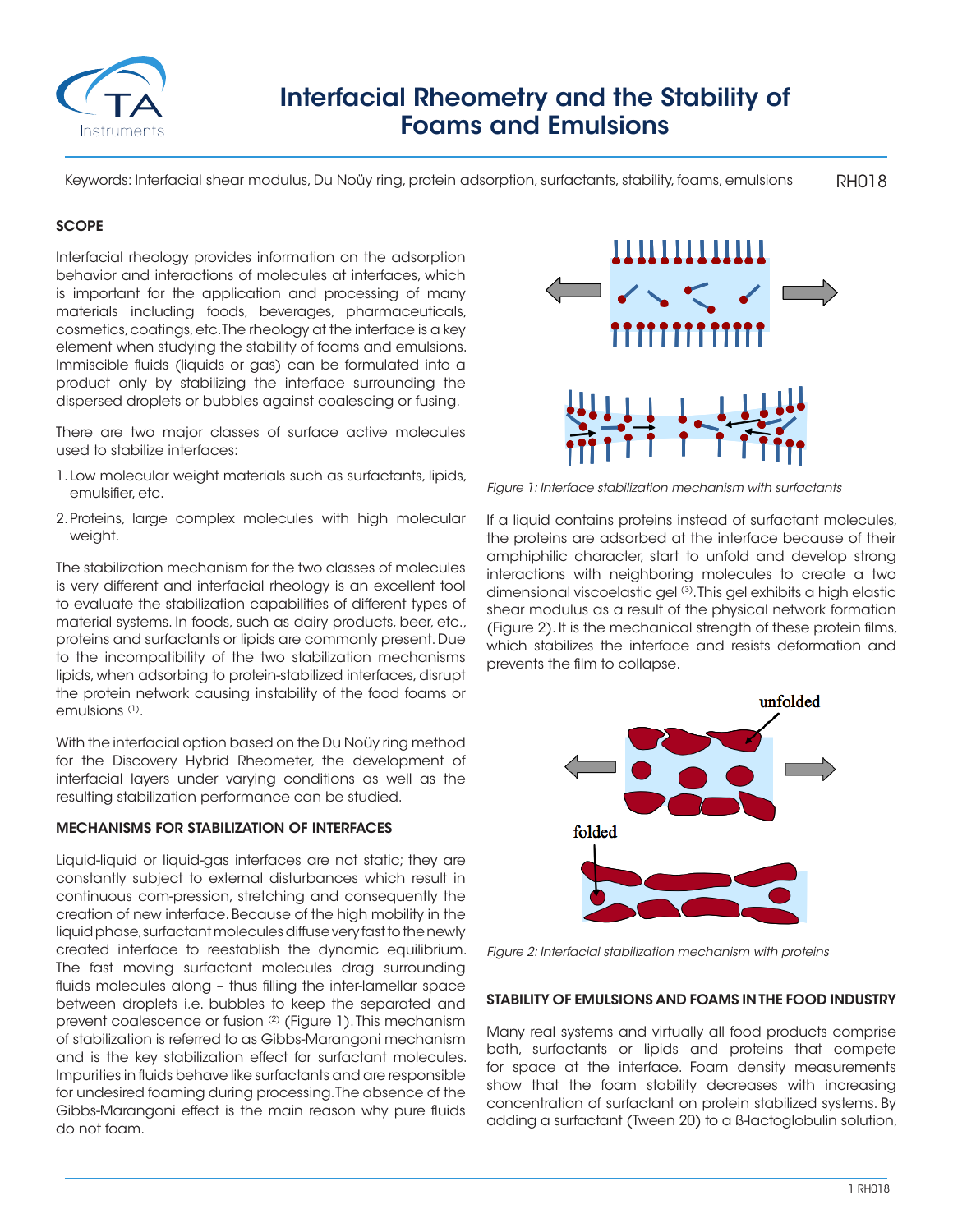

# Interfacial Rheometry and the Stability of Foams and Emulsions

RH018 Keywords: Interfacial shear modulus, Du Noüy ring, protein adsorption, surfactants, stability, foams, emulsions

## **SCOPE**

Interfacial rheology provides information on the adsorption behavior and interactions of molecules at interfaces, which is important for the application and processing of many materials including foods, beverages, pharmaceuticals, cosmetics, coatings, etc. The rheology at the interface is a key element when studying the stability of foams and emulsions. Immiscible fluids (liquids or gas) can be formulated into a product only by stabilizing the interface surrounding the dispersed droplets or bubbles against coalescing or fusing.

There are two major classes of surface active molecules used to stabilize interfaces:

- 1. Low molecular weight materials such as surfactants, lipids, emulsifier, etc.
- 2.Proteins, large complex molecules with high molecular weight.

The stabilization mechanism for the two classes of molecules is very different and interfacial rheology is an excellent tool to evaluate the stabilization capabilities of different types of material systems. In foods, such as dairy products, beer, etc., proteins and surfactants or lipids are commonly present. Due to the incompatibility of the two stabilization mechanisms lipids, when adsorbing to protein-stabilized interfaces, disrupt the protein network causing instability of the food foams or emulsions (1).

With the interfacial option based on the Du Noüy ring method for the Discovery Hybrid Rheometer, the development of interfacial layers under varying conditions as well as the resulting stabilization performance can be studied.

## MECHANISMS FOR STABILIZATION OF INTERFACES

Liquid-liquid or liquid-gas interfaces are not static; they are constantly subject to external disturbances which result in continuous com-pression, stretching and consequently the creation of new interface. Because of the high mobility in the liquid phase, surfactant molecules diffuse very fast to the newly created interface to reestablish the dynamic equilibrium. The fast moving surfactant molecules drag surrounding fluids molecules along – thus filling the inter-lamellar space between droplets i.e. bubbles to keep the separated and prevent coalescence or fusion (2) (Figure 1). This mechanism of stabilization is referred to as Gibbs-Marangoni mechanism and is the key stabilization effect for surfactant molecules. Impurities in fluids behave like surfactants and are responsible for undesired foaming during processing. The absence of the Gibbs-Marangoni effect is the main reason why pure fluids do not foam.



*Figure 1: Interface stabilization mechanism with surfactants*

If a liquid contains proteins instead of surfactant molecules, the proteins are adsorbed at the interface because of their amphiphilic character, start to unfold and develop strong interactions with neighboring molecules to create a two dimensional viscoelastic gel (3). This gel exhibits a high elastic shear modulus as a result of the physical network formation (Figure 2). It is the mechanical strength of these protein films, which stabilizes the interface and resists deformation and prevents the film to collapse.



*Figure 2: Interfacial stabilization mechanism with proteins*

#### STABILITY OF EMULSIONS AND FOAMS IN THE FOOD INDUSTRY

Many real systems and virtually all food products comprise both, surfactants or lipids and proteins that compete for space at the interface. Foam density measurements show that the foam stability decreases with increasing concentration of surfactant on protein stabilized systems. By adding a surfactant (Tween 20) to a ß-lactoglobulin solution,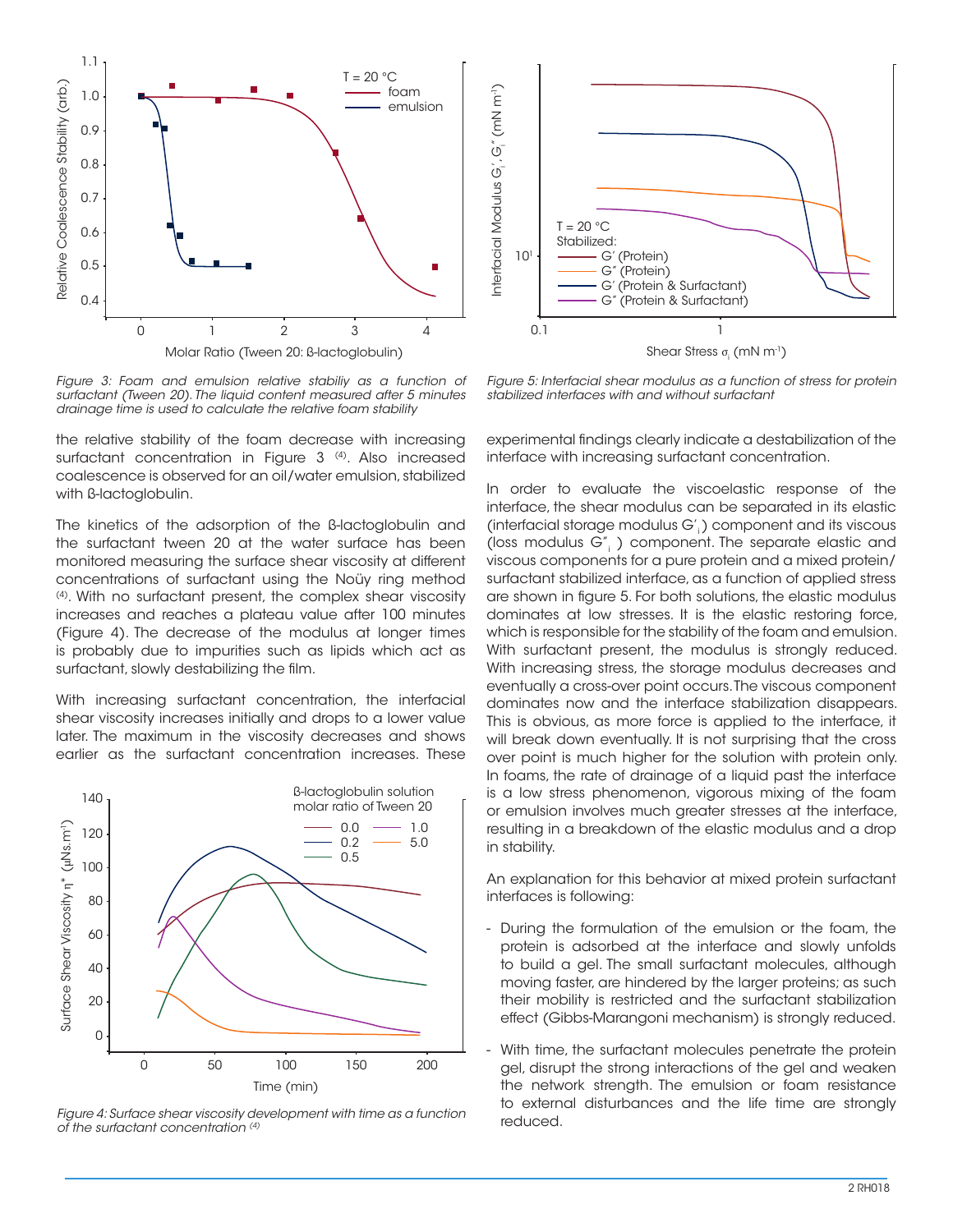

*Figure 3: Foam and emulsion relative stabiliy as a function of surfactant (Tween 20). The liquid content measured after 5 minutes drainage time is used to calculate the relative foam stability*

the relative stability of the foam decrease with increasing surfactant concentration in Figure 3<sup>(4)</sup>. Also increased coalescence is observed for an oil/water emulsion, stabilized with ß-lactoglobulin.

The kinetics of the adsorption of the ß-lactoglobulin and the surfactant tween 20 at the water surface has been monitored measuring the surface shear viscosity at different concentrations of surfactant using the Noüy ring method (4). With no surfactant present, the complex shear viscosity increases and reaches a plateau value after 100 minutes (Figure 4). The decrease of the modulus at longer times is probably due to impurities such as lipids which act as surfactant, slowly destabilizing the film.

With increasing surfactant concentration, the interfacial shear viscosity increases initially and drops to a lower value later. The maximum in the viscosity decreases and shows earlier as the surfactant concentration increases. These



*Figure 4: Surface shear viscosity development with time as a function of the surfactant concentration (4)*



*Figure 5: Interfacial shear modulus as a function of stress for protein stabilized interfaces with and without surfactant*

experimental findings clearly indicate a destabilization of the interface with increasing surfactant concentration.

In order to evaluate the viscoelastic response of the interface, the shear modulus can be separated in its elastic (interfacial storage modulus  $G'$ ) component and its viscous (loss modulus G", ) component. The separate elastic and viscous components for a pure protein and a mixed protein/ surfactant stabilized interface, as a function of applied stress are shown in figure 5. For both solutions, the elastic modulus dominates at low stresses. It is the elastic restoring force, which is responsible for the stability of the foam and emulsion. With surfactant present, the modulus is strongly reduced. With increasing stress, the storage modulus decreases and eventually a cross-over point occurs. The viscous component dominates now and the interface stabilization disappears. This is obvious, as more force is applied to the interface, it will break down eventually. It is not surprising that the cross over point is much higher for the solution with protein only. In foams, the rate of drainage of a liquid past the interface is a low stress phenomenon, vigorous mixing of the foam or emulsion involves much greater stresses at the interface, resulting in a breakdown of the elastic modulus and a drop in stability.

An explanation for this behavior at mixed protein surfactant interfaces is following:

- During the formulation of the emulsion or the foam, the protein is adsorbed at the interface and slowly unfolds to build a gel. The small surfactant molecules, although moving faster, are hindered by the larger proteins; as such their mobility is restricted and the surfactant stabilization effect (Gibbs-Marangoni mechanism) is strongly reduced.
- With time, the surfactant molecules penetrate the protein gel, disrupt the strong interactions of the gel and weaken the network strength. The emulsion or foam resistance to external disturbances and the life time are strongly reduced.